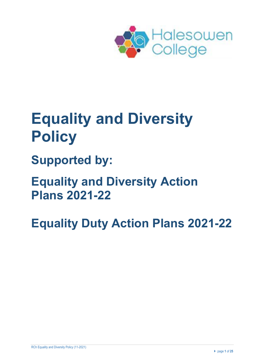

# **Equality and Diversity Policy**

**Supported by:**

**Equality and Diversity Action Plans 2021-22**

**Equality Duty Action Plans 2021-22**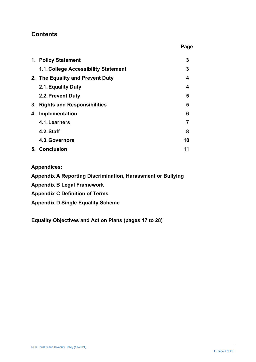## **Contents**

| 1. Policy Statement                  | 3  |
|--------------------------------------|----|
| 1.1. College Accessibility Statement | 3  |
| 2. The Equality and Prevent Duty     | 4  |
| 2.1. Equality Duty                   | 4  |
| 2.2. Prevent Duty                    | 5  |
| 3. Rights and Responsibilities       | 5  |
| 4. Implementation                    | 6  |
| 4.1. Learners                        | 7  |
| 4.2. Staff                           | 8  |
| 4.3. Governors                       | 10 |
| 5. Conclusion                        | 11 |

 **Page**

#### **Appendices:**

**Appendix A Reporting Discrimination, Harassment or Bullying**

- **Appendix B Legal Framework**
- **Appendix C Definition of Terms**
- **Appendix D Single Equality Scheme**

**Equality Objectives and Action Plans (pages 17 to 28)**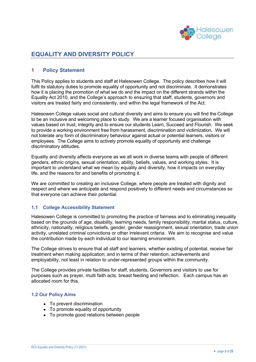

## **EQUALITY AND DIVERSITY POLICY**

#### **1 Policy Statement**

This Policy applies to students and staff at Halesowen College. The policy describes how it will fulfil its statutory duties to promote equality of opportunity and not discriminate. It demonstrates how it is placing the promotion of what we do and the impact on the different strands within the Equality Act 2010, and the College's approach to ensuring that staff, students, governors and visitors are treated fairly and consistently, and within the legal framework of the Act.

Halesowen College values social and cultural diversity and aims to ensure you will find the College to be an inclusive and welcoming place to study. We are a learner focused organisation with values based on trust, integrity and to ensure our students Learn, Succeed and Flourish. We seek to provide a working environment free from harassment, discrimination and victimization. We will not tolerate any form of discriminatory behaviour against actual or potential learners, visitors or employees. The College aims to actively promote equality of opportunity and challenge discriminatory attitudes.

Equality and diversity affects everyone as we all work in diverse teams with people of different genders, ethnic origins, sexual orientation, ability, beliefs, values, and working styles. It is important to understand what we mean by equality and diversity, how it impacts on everyday life, and the reasons for and benefits of promoting it.

We are committed to creating an inclusive College, where people are treated with dignity and respect and where we anticipate and respond positively to different needs and circumstances so that everyone can achieve their potential.

#### **1.1 College Accessibility Statement**

Halesowen College is committed to promoting the practice of fairness and to eliminating inequality based on the grounds of age, disability, learning needs, family responsibility, marital status, culture, ethnicity, nationality, religious beliefs, gender, gender reassignment, sexual orientation, trade union activity, unrelated criminal convictions or other irrelevant criteria. We aim to recognise and value the contribution made by each individual to our learning environment.

The College strives to ensure that all staff and learners, whether existing of potential, receive fair treatment when making application; and in terms of their retention, achievements and employability, not least in relation to under-represented groups within the community.

The College provides private facilities for staff, students, Governors and visitors to use for purposes such as prayer, multi faith acts, breast feeding and reflection. Each campus has an allocated room for this.

#### **1.2 Our Policy Aims**

- To prevent discrimination
- To promote equality of opportunity
- To promote good relations between people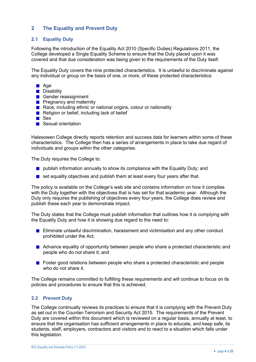#### **2 The Equality and Prevent Duty**

#### **2.1 Equality Duty**

Following the introduction of the Equality Act 2010 (Specific Duties) Regulations 2011, the College developed a Single Equality Scheme to ensure that the Duty placed upon it was covered and that due consideration was being given to the requirements of the Duty itself.

The Equality Duty covers the nine protected characteristics. It is unlawful to discriminate against any individual or group on the basis of one, or more, of these protected characteristics:

- **■** Age
- **Disability**
- Gender reassignment
- **Pregnancy and maternity**
- Race, including ethnic or national origins, colour or nationality
- Religion or belief, including lack of belief
- Sex
- Sexual orientation

Halesowen College directly reports retention and success data for learners within some of these characteristics. The College then has a series of arrangements in place to take due regard of individuals and groups within the other categories.

The Duty requires the College to:

- $\blacksquare$  publish information annually to show its compliance with the Equality Duty; and
- $\blacksquare$  set equality objectives and publish them at least every four years after that.

The policy is available on the College's web site and contains information on how it complies with the Duty together with the objectives that is has set for that academic year. Although the Duty only requires the publishing of objectives every four years, the College does review and publish these each year to demonstrate impact.

The Duty states that the College must publish information that outlines how it is complying with the Equality Duty and how it is showing due regard to the need to:

- $\mathcal{L}_{\mathcal{A}}$ Eliminate unlawful discrimination, harassment and victimisation and any other conduct prohibited under the Act;
- Advance equality of opportunity between people who share a protected characteristic and people who do not share it; and
- **Follow** Foster good relations between people who share a protected characteristic and people who do not share it.

The College remains committed to fulfilling these requirements and will continue to focus on its policies and procedures to ensure that this is achieved.

#### **2.2 Prevent Duty**

The College continually reviews its practices to ensure that it is complying with the Prevent Duty as set out in the Counter-Terrorism and Security Act 2015. The requirements of the Prevent Duty are covered within this document which is reviewed on a regular basis, annually at least, to ensure that the organisation has sufficient arrangements in place to educate, and keep safe, its students, staff, employers, contractors and visitors and to react to a situation which falls under this legislation.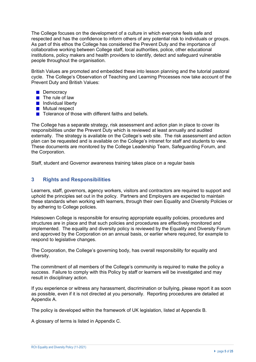The College focuses on the development of a culture in which everyone feels safe and respected and has the confidence to inform others of any potential risk to individuals or groups. As part of this ethos the College has considered the Prevent Duty and the importance of collaborative working between College staff, local authorities, police, other educational institutions, policy makers and health providers to identify, detect and safeguard vulnerable people throughout the organisation.

British Values are promoted and embedded these into lesson planning and the tutorial pastoral cycle. The College's Observation of Teaching and Learning Processes now take account of the Prevent Duty and British Values:

- **Democracy**
- $\blacksquare$  The rule of law
- **Individual liberty**
- **Mutual respect**
- $\blacksquare$  Tolerance of those with different faiths and beliefs.

The College has a separate strategy, risk assessment and action plan in place to cover its responsibilities under the Prevent Duty which is reviewed at least annually and audited externally. The strategy is available on the College's web site. The risk assessment and action plan can be requested and is available on the College's intranet for staff and students to view. These documents are monitored by the College Leadership Team, Safeguarding Forum, and the Corporation.

Staff, student and Governor awareness training takes place on a regular basis

#### **3 Rights and Responsibilities**

Learners, staff, governors, agency workers, visitors and contractors are required to support and uphold the principles set out in the policy. Partners and Employers are expected to maintain these standards when working with learners, through their own Equality and Diversity Policies or by adhering to College policies.

Halesowen College is responsible for ensuring appropriate equality policies, procedures and structures are in place and that such policies and procedures are effectively monitored and implemented. The equality and diversity policy is reviewed by the Equality and Diversity Forum and approved by the Corporation on an annual basis, or earlier where required, for example to respond to legislative changes.

The Corporation, the College's governing body, has overall responsibility for equality and diversity.

The commitment of all members of the College's community is required to make the policy a success. Failure to comply with this Policy by staff or learners will be investigated and may result in disciplinary action.

If you experience or witness any harassment, discrimination or bullying, please report it as soon as possible, even if it is not directed at you personally. Reporting procedures are detailed at Appendix A.

The policy is developed within the framework of UK legislation, listed at Appendix B.

A glossary of terms is listed in Appendix C.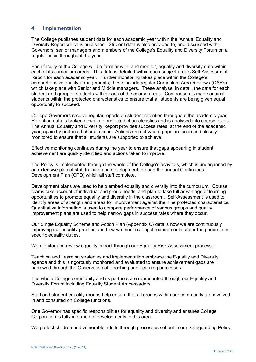#### **4 Implementation**

The College publishes student data for each academic year within the 'Annual Equality and Diversity Report which is published. Student data is also provided to, and discussed with, Governors, senior managers and members of the College's Equality and Diversity Forum on a regular basis throughout the year.

Each faculty of the College will be familiar with, and monitor, equality and diversity data within each of its curriculum areas. This data is detailed within each subject area's Self-Assessment Report for each academic year. Further monitoring takes place within the College's comprehensive quality arrangements; these include regular Curriculum Area Reviews (CARs) which take place with Senior and Middle managers. These analyse, in detail, the data for each student and group of students within each of the course areas. Comparison is made against students within the protected characteristics to ensure that all students are being given equal opportunity to succeed.

College Governors receive regular reports on student retention throughout the academic year. Retention data is broken down into protected characteristics and is analysed into course levels. The Annual Equality and Diversity Report provides success rates, at the end of the academic year, again by protected characteristic. Actions are set where gaps are seen and closely monitored to ensure that all students are supported to achieve.

Effective monitoring continues during the year to ensure that gaps appearing in student achievement are quickly identified and actions taken to improve.

The Policy is implemented through the whole of the College's activities, which is underpinned by an extensive plan of staff training and development through the annual Continuous Development Plan (CPD) which all staff complete.

Development plans are used to help embed equality and diversity into the curriculum. Course teams take account of individual and group needs, and plan to take full advantage of learning opportunities to promote equality and diversity in the classroom. Self-Assessment is used to identify areas of strength and areas for improvement against the nine protected characteristics. Quantitative information is used to compare performance of various groups and quality improvement plans are used to help narrow gaps in success rates where they occur.

Our Single Equality Scheme and Action Plan (Appendix C) details how we are continuously improving our equality practice and how we meet our legal requirements under the general and specific equality duties.

We monitor and review equality impact through our Equality Risk Assessment process.

Teaching and Learning strategies and implementation embrace the Equality and Diversity agenda and this is rigorously monitored and evaluated to ensure achievement gaps are narrowed through the Observation of Teaching and Learning processes.

The whole College community and its partners are represented through our Equality and Diversity Forum including Equality Student Ambassadors.

Staff and student equality groups help ensure that all groups within our community are involved in and consulted on College functions.

One Governor has specific responsibilities for equality and diversity and ensures College Corporation is fully informed of developments in this area.

We protect children and vulnerable adults through processes set out in our Safeguarding Policy.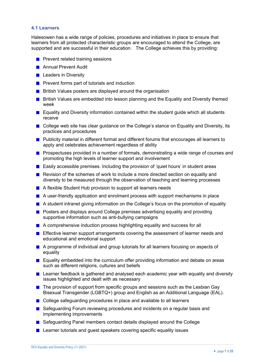#### **4.1 Learners**

Halesowen has a wide range of policies, procedures and initiatives in place to ensure that learners from all protected characteristic groups are encouraged to attend the College, are supported and are successful in their education. The College achieves this by providing:

- **Prevent related training sessions**
- **Annual Prevent Audit**
- **Leaders in Diversity**
- **Prevent forms part of tutorials and induction**
- **British Values posters are displayed around the organisation**
- **British Values are embedded into lesson planning and the Equality and Diversity themed** week
- **E** Equality and Diversity information contained within the student quide which all students receive
- College web site has clear guidance on the College's stance on Equality and Diversity, its practices and procedures
- **Publicity material in different format and different forums that encourages all learners to** apply and celebrates achievement regardless of ability
- **Prospectuses provided in a number of formats, demonstrating a wide range of courses and** promoting the high levels of learner support and involvement
- **Easily accessible premises. Including the provision of 'quiet hours' in student areas**
- Revision of the schemes of work to include a more directed section on equality and diversity to be measured through the observation of teaching and learning processes
- A flexible Student Hub provision to support all learners needs
- **A** user-friendly application and enrolment process with support mechanisms in place
- **A** student intranet giving information on the College's focus on the promotion of equality
- **Posters and displays around College premises advertising equality and providing** supportive information such as anti-bullying campaigns
- A comprehensive induction process highlighting equality and success for all
- **Effective learner support arrangements covering the assessment of learner needs and** educational and emotional support
- A programme of individual and group tutorials for all learners focusing on aspects of equality
- Equality embedded into the curriculum offer providing information and debate on areas such as different religions, cultures and beliefs
- **Learner feedback is gathered and analysed each academic year with equality and diversity** issues highlighted and dealt with as necessary
- **The provision of support from specific groups and sessions such as the Lesbian Gay** Bisexual Transgender (LGBTQ+) group and English as an Additional Language (EAL).
- College safeguarding procedures in place and available to all learners
- Safeguarding Forum reviewing procedures and incidents on a regular basis and implementing improvements
- Safeguarding Panel members contact details displayed around the College
- **Learner tutorials and guest speakers covering specific equality issues**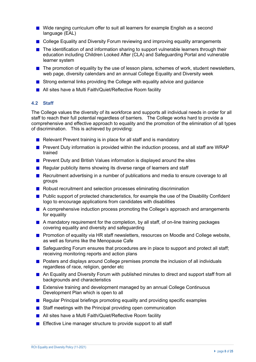- Wide ranging curriculum offer to suit all learners for example English as a second language (EAL)
- College Equality and Diversity Forum reviewing and improving equality arrangements
- **The identification of and information sharing to support vulnerable learners through their** education including Children Looked After (CLA) and Safeguarding Portal and vulnerable learner system
- $\blacksquare$  The promotion of equality by the use of lesson plans, schemes of work, student newsletters, web page, diversity calendars and an annual College Equality and Diversity week
- Strong external links providing the College with equality advice and guidance
- All sites have a Multi Faith/Quiet/Reflective Room facility

#### **4.2 Staff**

The College values the diversity of its workforce and supports all individual needs in order for all staff to reach their full potential regardless of barriers. The College works hard to provide a comprehensive and effective approach to equality and the promotion of the elimination of all types of discrimination. This is achieved by providing:

- $\blacksquare$  Relevant Prevent training is in place for all staff and is mandatory
- **Prevent Duty information is provided within the induction process, and all staff are WRAP** trained
- **Prevent Duty and British Values information is displayed around the sites**
- Regular publicity items showing its diverse range of learners and staff
- Recruitment advertising in a number of publications and media to ensure coverage to all groups
- Robust recruitment and selection processes eliminating discrimination
- **Public support of protected characteristics, for example the use of the Disability Confident** logo to encourage applications from candidates with disabilities
- A comprehensive induction process promoting the College's approach and arrangements for equality
- **A** mandatory requirement for the completion, by all staff, of on-line training packages covering equality and diversity and safeguarding
- **Promotion of equality via HR staff newsletters, resources on Moodle and College website,** as well as forums like the Menopause Cafe
- Safeguarding Forum ensures that procedures are in place to support and protect all staff; receiving monitoring reports and action plans
- **Posters and displays around College premises promote the inclusion of all individuals** regardless of race, religion, gender etc
- An Equality and Diversity Forum with published minutes to direct and support staff from all backgrounds and characteristics
- **EXTENSIVE EXTENSIVE TRAINING And DEVELOPMENT MANAGED BY AN ANNUAL COLLEGE CONTINUOUS** Development Plan which is open to all
- **Requiar Principal briefings promoting equality and providing specific examples**
- Staff meetings with the Principal providing open communication
- All sites have a Multi Faith/Quiet/Reflective Room facility
- **Effective Line manager structure to provide support to all staff**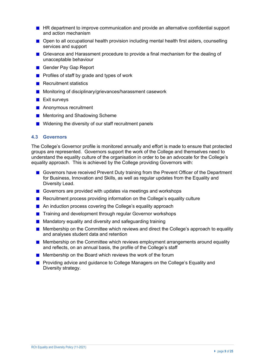- **HR** department to improve communication and provide an alternative confidential support and action mechanism
- Open to all occupational health provision including mental health first aiders, counselling services and support
- Grievance and Harassment procedure to provide a final mechanism for the dealing of unacceptable behaviour
- Gender Pay Gap Report
- **Profiles of staff by grade and types of work**
- **Recruitment statistics**
- **Monitoring of disciplinary/grievances/harassment casework**
- $\blacksquare$  Exit surveys
- **Anonymous recruitment**
- **Mentoring and Shadowing Scheme**
- Widening the diversity of our staff recruitment panels

#### **4.3 Governors**

The College's Governor profile is monitored annually and effort is made to ensure that protected groups are represented. Governors support the work of the College and themselves need to understand the equality culture of the organisation in order to be an advocate for the College's equality approach. This is achieved by the College providing Governors with:

- Governors have received Prevent Duty training from the Prevent Officer of the Department for Business, Innovation and Skills, as well as regular updates from the Equality and Diversity Lead.
- Governors are provided with updates via meetings and workshops
- **Recruitment process providing information on the College's equality culture**
- An induction process covering the College's equality approach
- Training and development through regular Governor workshops
- **Mandatory equality and diversity and safeguarding training**
- **Membership on the Committee which reviews and direct the College's approach to equality** and analyses student data and retention
- **Membership on the Committee which reviews employment arrangements around equality** and reflects, on an annual basis, the profile of the College's staff
- **Membership on the Board which reviews the work of the forum**
- **Providing advice and guidance to College Managers on the College's Equality and** Diversity strategy.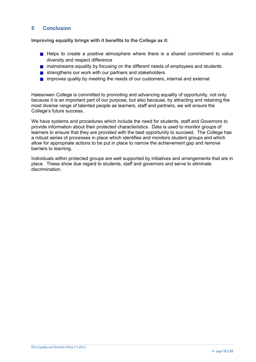#### **5 Conclusion**

**Improving equality brings with it benefits to the College as it:**

- Helps to create a positive atmosphere where there is a shared commitment to value diversity and respect difference
- **n** mainstreams equality by focusing on the different needs of employees and students
- strengthens our work with our partners and stakeholders
- $\blacksquare$  improves quality by meeting the needs of our customers, internal and external

Halesowen College is committed to promoting and advancing equality of opportunity, not only because it is an important part of our purpose, but also because, by attracting and retaining the most diverse range of talented people as learners, staff and partners, we will ensure the College's future success.

We have systems and procedures which include the need for students, staff and Governors to provide information about their protected characteristics. Data is used to monitor groups of learners to ensure that they are provided with the best opportunity to succeed. The College has a robust series of processes in place which identifies and monitors student groups and which allow for appropriate actions to be put in place to narrow the achievement gap and remove barriers to learning.

Individuals within protected groups are well supported by initiatives and arrangements that are in place. These show due regard to students, staff and governors and serve to eliminate discrimination.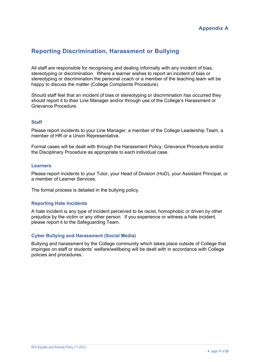## **Reporting Discrimination, Harassment or Bullying**

All staff are responsible for recognising and dealing informally with any incident of bias, stereotyping or discrimination. Where a learner wishes to report an incident of bias or stereotyping or discrimination the personal coach or a member of the teaching team will be happy to discuss the matter (College Complaints Procedure).

Should staff feel that an incident of bias or stereotyping or discrimination has occurred they should report it to their Line Manager and/or through use of the College's Harassment or Grievance Procedure.

#### **Staff**

Please report incidents to your Line Manager, a member of the College Leadership Team, a member of HR or a Union Representative.

Formal cases will be dealt with through the Harassment Policy, Grievance Procedure and/or the Disciplinary Procedure as appropriate to each individual case.

#### **Learners**

Please report incidents to your Tutor, your Head of Division (HoD), your Assistant Principal, or a member of Learner Services.

The formal process is detailed in the bullying policy.

#### **Reporting Hate Incidents**

A hate incident is any type of incident perceived to be racist, homophobic or driven by other prejudice by the victim or any other person. If you experience or witness a hate incident, please report it to the Safeguarding Team.

#### **Cyber Bullying and Harassment (Social Media)**

Bullying and harassment by the College community which takes place outside of College that impinges on staff or students' welfare/wellbeing will be dealt with in accordance with College policies and procedures.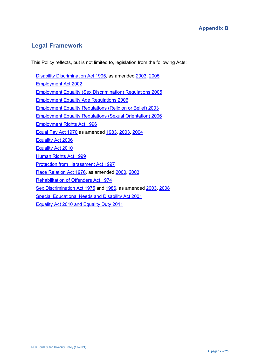## **Appendix B**

## **Legal Framework**

This Policy reflects, but is not limited to, legislation from the following Acts:

Disability Discrimination Act 1995, as amended 2003, 2005 Employment Act 2002 Employment Equality (Sex Discrimination) Regulations 2005 Employment Equality Age Regulations 2006 Employment Equality Regulations (Religion or Belief) 2003 Employment Equality Regulations (Sexual Orientation) 2006 Employment Rights Act 1996 Equal Pay Act 1970 as amended 1983, 2003, 2004 Equality Act 2006 Equality Act 2010 Human Rights Act 1999 Protection from Harassment Act 1997 Race Relation Act 1976, as amended 2000, 2003 Rehabilitation of Offenders Act 1974 Sex Discrimination Act 1975 and 1986, as amended 2003, 2008 Special Educational Needs and Disability Act 2001 Equality Act 2010 and Equality Duty 2011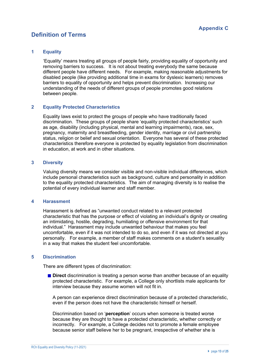# **Definition of Terms**

#### **1 Equality**

'Equality' means treating all groups of people fairly, providing equality of opportunity and removing barriers to success. It is not about treating everybody the same because different people have different needs. For example, making reasonable adjustments for disabled people (like providing additional time in exams for dyslexic learners) removes barriers to equality of opportunity and helps prevent discrimination. Increasing our understanding of the needs of different groups of people promotes good relations between people.

#### **2 Equality Protected Characteristics**

Equality laws exist to protect the groups of people who have traditionally faced discrimination. These groups of people share 'equality protected characteristics' such as age, disability (including physical, mental and learning impairments), race, sex, pregnancy, maternity and breastfeeding, gender identity, marriage or civil partnership status, religion or belief and sexual orientation. Everyone has several of these protected characteristics therefore everyone is protected by equality legislation from discrimination in education, at work and in other situations.

#### **3 Diversity**

Valuing diversity means we consider visible and non-visible individual differences, which include personal characteristics such as background, culture and personality in addition to the equality protected characteristics. The aim of managing diversity is to realise the potential of every individual learner and staff member.

#### **4 Harassment**

Harassment is defined as "unwanted conduct related to a relevant protected characteristic that has the purpose or effect of violating an individual's dignity or creating an intimidating, hostile, degrading, humiliating or offensive environment for that individual." Harassment may include unwanted behaviour that makes you feel uncomfortable, even if it was not intended to do so, and even if it was not directed at you personally. For example, a member of staff makes comments on a student's sexuality in a way that makes the student feel uncomfortable.

#### **5 Discrimination**

There are different types of discrimination:

**Direct** discrimination is treating a person worse than another because of an equality protected characteristic. For example, a College only shortlists male applicants for interview because they assume women will not fit in.

A person can experience direct discrimination because of a protected characteristic, even if the person does not have the characteristic himself or herself.

Discrimination based on '**perception**' occurs when someone is treated worse because they are thought to have a protected characteristic, whether correctly or incorrectly. For example, a College decides not to promote a female employee because senior staff believe her to be pregnant, irrespective of whether she is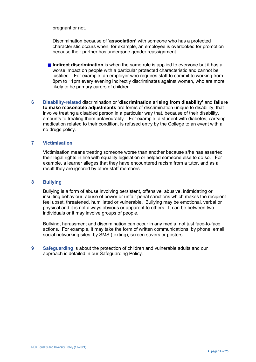pregnant or not.

Discrimination because of '**association'** with someone who has a protected characteristic occurs when, for example, an employee is overlooked for promotion because their partner has undergone gender reassignment.

- **Indirect discrimination** is when the same rule is applied to everyone but it has a worse impact on people with a particular protected characteristic and cannot be justified. For example, an employer who requires staff to commit to working from 8pm to 11pm every evening indirectly discriminates against women, who are more likely to be primary carers of children.
- **6 Disability-related** discrimination or '**discrimination arising from disability'** and **failure to make reasonable adjustments** are forms of discrimination unique to disability, that involve treating a disabled person in a particular way that, because of their disability, amounts to treating them unfavourably. For example, a student with diabetes, carrying medication related to their condition, is refused entry by the College to an event with a no drugs policy.

#### **7 Victimisation**

Victimisation means treating someone worse than another because s/he has asserted their legal rights in line with equality legislation or helped someone else to do so. For example, a learner alleges that they have encountered racism from a tutor, and as a result they are ignored by other staff members.

#### **8 Bullying**

Bullying is a form of abuse involving persistent, offensive, abusive, intimidating or insulting behaviour, abuse of power or unfair penal sanctions which makes the recipient feel upset, threatened, humiliated or vulnerable. Bullying may be emotional, verbal or physical and it is not always obvious or apparent to others. It can be between two individuals or it may involve groups of people.

Bullying, harassment and discrimination can occur in any media, not just face-to-face actions. For example, it may take the form of written communications, by phone, email, social networking sites, by SMS (texting), screen-savers or posters.

**9 Safeguarding** is about the protection of children and vulnerable adults and our approach is detailed in our Safeguarding Policy.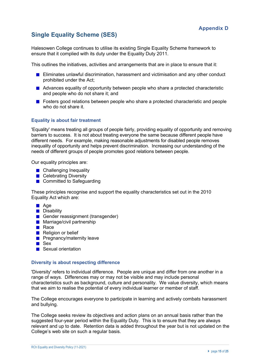# **Single Equality Scheme (SES)**

Halesowen College continues to utilise its existing Single Equality Scheme framework to ensure that it complied with its duty under the Equality Duty 2011.

This outlines the initiatives, activities and arrangements that are in place to ensure that it:

- **Eliminates unlawful discrimination, harassment and victimisation and any other conduct** prohibited under the Act;
- Advances equality of opportunity between people who share a protected characteristic and people who do not share it; and
- **F** Fosters good relations between people who share a protected characteristic and people who do not share it.

#### **Equality is about fair treatment**

'Equality' means treating all groups of people fairly, providing equality of opportunity and removing barriers to success. It is not about treating everyone the same because different people have different needs. For example, making reasonable adjustments for disabled people removes inequality of opportunity and helps prevent discrimination. Increasing our understanding of the needs of different groups of people promotes good relations between people.

Our equality principles are:

- **Challenging Inequality**
- **Celebrating Diversity**
- Committed to Safeguarding

These principles recognise and support the equality characteristics set out in the 2010 Equality Act which are:

- **Age**
- **Disability**
- Gender reassignment (transgender)
- **Marriage/civil partnership**
- **Race**
- Religion or belief
- **Pregnancy/maternity leave**
- **B** Sex
- Sexual orientation

#### **Diversity is about respecting difference**

'Diversity' refers to individual difference. People are unique and differ from one another in a range of ways. Differences may or may not be visible and may include personal characteristics such as background, culture and personality. We value diversity, which means that we aim to realise the potential of every individual learner or member of staff.

The College encourages everyone to participate in learning and actively combats harassment and bullying.

The College seeks review its objectives and action plans on an annual basis rather than the suggested four-year period within the Equality Duty. This is to ensure that they are always relevant and up to date. Retention data is added throughout the year but is not updated on the College's web site on such a regular basis.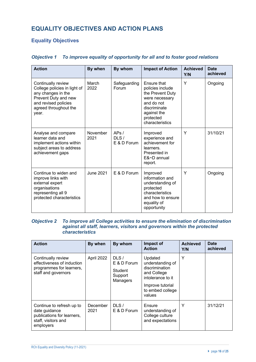# **EQUALITY OBJECTIVES AND ACTION PLANS**

## **Equality Objectives**

| <b>Action</b>                                                                                                                                              | By when          | By whom                     | <b>Impact of Action</b>                                                                                                                            | <b>Achieved</b><br>Y/N | <b>Date</b><br>achieved |
|------------------------------------------------------------------------------------------------------------------------------------------------------------|------------------|-----------------------------|----------------------------------------------------------------------------------------------------------------------------------------------------|------------------------|-------------------------|
| Continually review<br>College policies in light of<br>any changes in the<br>Prevent Duty and new<br>and revised policies<br>agreed throughout the<br>year. | March<br>2022    | Safeguarding<br>Forum       | Ensure that<br>policies include<br>the Prevent Duty<br>were necessary<br>and do not<br>discriminate<br>against the<br>protected<br>characteristics | Y                      | Ongoing                 |
| Analyse and compare<br>learner data and<br>implement actions within<br>subject areas to address<br>achievement gaps                                        | November<br>2021 | APs/<br>DLS/<br>E & D Forum | Improved<br>experience and<br>achievement for<br>learners.<br>Presented in<br>E&~D annual<br>report.                                               | Y                      | 31/10/21                |
| Continue to widen and<br>improve links with<br>external expert<br>organisations<br>representing all 9<br>protected characteristics                         | <b>June 2021</b> | E & D Forum                 | Improved<br>information and<br>understanding of<br>protected<br>characteristics<br>and how to ensure<br>equality of<br>opportunity                 | Y                      | Ongoing                 |

#### *Objective 1 To improve equality of opportunity for all and to foster good relations*

#### *Objective 2 To improve all College activities to ensure the elimination of discrimination against all staff, learners, visitors and governors within the protected characteristics*

| <b>Action</b>                                                                                                | By when          | By whom                                               | Impact of<br><b>Action</b>                                                                                                          | <b>Achieved</b><br>Y/N | <b>Date</b><br>achieved |
|--------------------------------------------------------------------------------------------------------------|------------------|-------------------------------------------------------|-------------------------------------------------------------------------------------------------------------------------------------|------------------------|-------------------------|
| Continually review<br>effectiveness of induction<br>programmes for learners,<br>staff and governors          | April 2022       | DLS/<br>E & D Forum<br>Student<br>Support<br>Managers | Updated<br>understanding of<br>discrimination<br>and College<br>intolerance to it<br>Improve tutorial<br>to embed college<br>values | Υ                      |                         |
| Continue to refresh up to<br>date guidance<br>publications for learners,<br>staff, visitors and<br>employers | December<br>2021 | DLS/<br>E & D Forum                                   | Ensure<br>understanding of<br>College culture<br>and expectations                                                                   | Υ                      | 31/12/21                |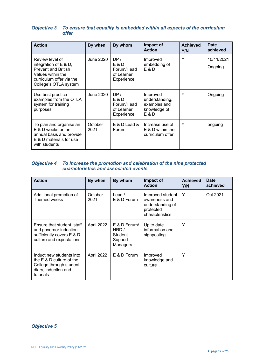#### *Objective 3 To ensure that equality is embedded within all aspects of the curriculum offer*

| <b>Action</b>                                                                                                                                      | By when         | By whom                                                 | Impact of<br><b>Action</b>                                          | <b>Achieved</b><br>Y/N | <b>Date</b><br>achieved |
|----------------------------------------------------------------------------------------------------------------------------------------------------|-----------------|---------------------------------------------------------|---------------------------------------------------------------------|------------------------|-------------------------|
| Review level of<br>integration of $E$ & D,<br><b>Prevent and British</b><br>Values within the<br>curriculum offer via the<br>College's OTLA system | June 2020       | DP /<br>E & D<br>Forum/Head<br>of Learner<br>Experience | Improved<br>embedding of<br>E & D                                   | Υ                      | 10/11/2021<br>Ongoing   |
| Use best practice<br>examples from the OTLA<br>system for training<br>purposes                                                                     | June 2020       | DP /<br>E & D<br>Forum/Head<br>of Learner<br>Experience | Improved<br>understanding,<br>examples and<br>knowledge of<br>E & D | Y                      | Ongoing                 |
| To plan and organise an<br>E & D weeks on an<br>annual basis and provide<br>E & D materials for use<br>with students                               | October<br>2021 | $E$ & D Lead &<br>Forum                                 | Increase use of<br>$E$ & D within the<br>curriculum offer           | Υ                      | ongoing                 |

#### *Objective 4 To increase the promotion and celebration of the nine protected characteristics and associated events*

| <b>Action</b>                                                                                                           | By when         | By whom                                                  | Impact of<br><b>Action</b>                                                            | <b>Achieved</b><br>Y/N | <b>Date</b><br>achieved |
|-------------------------------------------------------------------------------------------------------------------------|-----------------|----------------------------------------------------------|---------------------------------------------------------------------------------------|------------------------|-------------------------|
| Additional promotion of<br>Themed weeks                                                                                 | October<br>2021 | Lead $/$<br>E & D Forum                                  | Improved student<br>awareness and<br>understanding of<br>protected<br>characteristics | Υ                      | Oct 2021                |
| Ensure that student, staff<br>and governor induction<br>sufficiently covers E & D<br>culture and expectations           | April 2022      | $E$ & D Forum/<br>HRD/<br>Student<br>Support<br>Managers | Up to date<br>information and<br>signposting                                          | Υ                      |                         |
| Induct new students into<br>the $E \& D$ culture of the<br>College through student<br>diary, induction and<br>tutorials | April 2022      | E & D Forum                                              | Improved<br>knowledge and<br>culture                                                  | Υ                      |                         |

#### *Objective 5*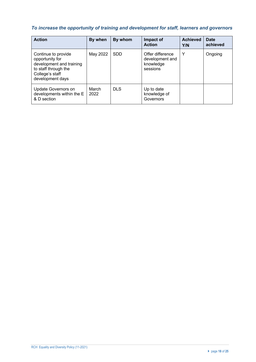## *To increase the opportunity of training and development for staff, learners and governors*

| <b>Action</b>                                                                                                                     | By when       | By whom    | Impact of<br><b>Action</b>                                   | <b>Achieved</b><br>Y/N | <b>Date</b><br>achieved |
|-----------------------------------------------------------------------------------------------------------------------------------|---------------|------------|--------------------------------------------------------------|------------------------|-------------------------|
| Continue to provide<br>opportunity for<br>development and training<br>to staff through the<br>College's staff<br>development days | May 2022      | <b>SDD</b> | Offer difference<br>development and<br>knowledge<br>sessions | Y                      | Ongoing                 |
| Update Governors on<br>developments within the E<br>& D section                                                                   | March<br>2022 | <b>DLS</b> | Up to date<br>knowledge of<br>Governors                      |                        |                         |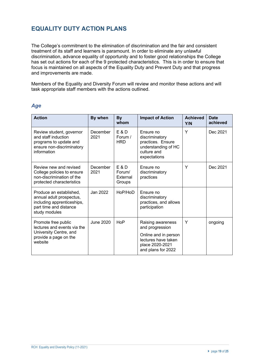## **EQUALITY DUTY ACTION PLANS**

The College's commitment to the elimination of discrimination and the fair and consistent treatment of its staff and learners is paramount. In order to eliminate any unlawful discrimination, advance equality of opportunity and to foster good relationships the College has set out actions for each of the 9 protected characteristics. This is in order to ensure that focus is maintained on all aspects of the Equality Duty and Prevent Duty and that progress and improvements are made.

Members of the Equality and Diversity Forum will review and monitor these actions and will task appropriate staff members with the actions outlined.

| <b>Action</b>                                                                                                                | By when          | <b>By</b><br>whom                       | <b>Impact of Action</b>                                                                                                      | <b>Achieved</b><br>Y/N | <b>Date</b><br>achieved |
|------------------------------------------------------------------------------------------------------------------------------|------------------|-----------------------------------------|------------------------------------------------------------------------------------------------------------------------------|------------------------|-------------------------|
| Review student, governor<br>and staff induction<br>programs to update and<br>ensure non-discriminatory<br>information        | December<br>2021 | $E$ & D<br>Forum /<br><b>HRD</b>        | Ensure no<br>discriminatory<br>practices. Ensure<br>understanding of HC<br>culture and<br>expectations                       | Y                      | Dec 2021                |
| Review new and revised<br>College policies to ensure<br>non-discrimination of the<br>protected characteristics               | December<br>2021 | $E$ & D<br>Forum/<br>External<br>Groups | Ensure no<br>discriminatory<br>practices                                                                                     | Υ                      | Dec 2021                |
| Produce an established,<br>annual adult prospectus,<br>including apprenticeships,<br>part time and distance<br>study modules | Jan 2022         | HoP/HoD                                 | Ensure no<br>discriminatory<br>practices, and allows<br>participation                                                        |                        |                         |
| Promote free public<br>lectures and events via the<br>University Centre, and<br>provide a page on the<br>website             | June 2020        | HoP                                     | Raising awareness<br>and progression<br>Online and in person<br>lectures have taken<br>place 2020-2021<br>and plans for 2022 | Y                      | ongoing                 |

#### *Age*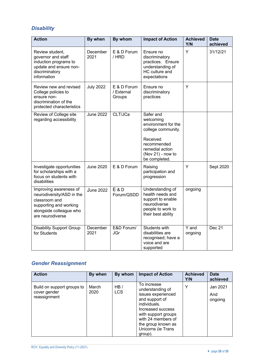## *Disability*

| <b>Action</b>                                                                                                                                 | By when          | By whom                             | <b>Impact of Action</b>                                                                                                                                 | <b>Achieved</b><br>Y/N | <b>Date</b><br>achieved |
|-----------------------------------------------------------------------------------------------------------------------------------------------|------------------|-------------------------------------|---------------------------------------------------------------------------------------------------------------------------------------------------------|------------------------|-------------------------|
| Review student,<br>governor and staff<br>induction programs to<br>update and ensure non-<br>discriminatory<br>information                     | December<br>2021 | E & D Forum<br>/ HRD                | Ensure no<br>discriminatory<br>practices. Ensure<br>understanding of<br>HC culture and<br>expectations                                                  | Y                      | 31/12/21                |
| Review new and revised<br>College policies to<br>ensure non-<br>discrimination of the<br>protected characteristics                            | <b>July 2022</b> | E & D Forum<br>/ External<br>Groups | Ensure no<br>discriminatory<br>practices                                                                                                                | Y                      |                         |
| Review of College site<br>regarding accessibility                                                                                             | <b>June 2022</b> | CLT/JCa                             | Safer and<br>welcoming<br>environment for the<br>college community.<br>Received<br>recommended<br>remedial action<br>(Nov 21) - now to<br>be completed. |                        |                         |
| Investigate opportunities<br>for scholarships with a<br>focus on students with<br>disabilities                                                | <b>June 2020</b> | E & D Forum                         | Raising<br>participation and<br>progression                                                                                                             | Y                      | Sept 2020               |
| Improving awareness of<br>neurodiversity/ASD in the<br>classroom and<br>supporting and working<br>alongside colleague who<br>are neurodiverse | <b>June 2022</b> | <b>E&amp;D</b><br>Forum/QSDD        | Understanding of<br>health needs and<br>support to enable<br>neurodiverse<br>people to work to<br>their best ability                                    | ongoing                |                         |
| <b>Disability Support Group</b><br>for Students                                                                                               | December<br>2021 | E&D Forum/<br>JGr                   | <b>Students with</b><br>disabilities are<br>recognised; have a<br>voice and are<br>supported                                                            | Y and<br>ongoing       | Dec 21                  |

# *Gender Reassignment*

| <b>Action</b>                                              | By when       | By whom           | <b>Impact of Action</b>                                                                                                                                                                                          | <b>Achieved</b><br>Y/N | <b>Date</b><br>achieved    |
|------------------------------------------------------------|---------------|-------------------|------------------------------------------------------------------------------------------------------------------------------------------------------------------------------------------------------------------|------------------------|----------------------------|
| Build on support groups to<br>cover gender<br>reassignment | March<br>2020 | HB/<br><b>LCS</b> | To increase<br>understanding of<br>issues experienced<br>and support of<br>individuals.<br>Increased success<br>with support groups<br>with 24 members of<br>the group known as<br>Unicorns (ie Trans<br>group). | Υ                      | Jan 2021<br>And<br>ongoing |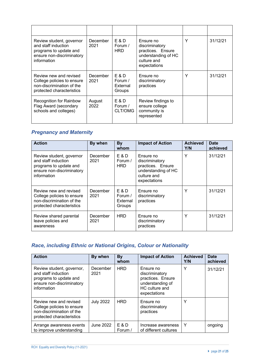| Review student, governor<br>and staff induction<br>programs to update and<br>ensure non-discriminatory<br>information | December<br>2021 | E & D<br>Forum /<br><b>HRD</b>           | Ensure no<br>discriminatory<br>practices. Ensure<br>understanding of HC<br>culture and<br>expectations | Υ | 31/12/21 |
|-----------------------------------------------------------------------------------------------------------------------|------------------|------------------------------------------|--------------------------------------------------------------------------------------------------------|---|----------|
| Review new and revised<br>College policies to ensure<br>non-discrimination of the<br>protected characteristics        | December<br>2021 | $E$ & D<br>Forum /<br>External<br>Groups | Ensure no<br>discriminatory<br>practices                                                               | Y | 31/12/21 |
| <b>Recognition for Rainbow</b><br>Flag Award (secondary<br>schools and colleges)                                      | August<br>2022   | E & D<br>Forum /<br>CLT/OMG              | Review findings to<br>ensure college<br>community is<br>represented                                    |   |          |

# *Pregnancy and Maternity*

| <b>Action</b>                                                                                                         | By when          | By<br>whom                             | <b>Impact of Action</b>                                                                                | <b>Achieved</b><br>Y/N | <b>Date</b><br>achieved |
|-----------------------------------------------------------------------------------------------------------------------|------------------|----------------------------------------|--------------------------------------------------------------------------------------------------------|------------------------|-------------------------|
| Review student, governor<br>and staff induction<br>programs to update and<br>ensure non-discriminatory<br>information | December<br>2021 | E & D<br>Forum /<br><b>HRD</b>         | Ensure no<br>discriminatory<br>practices. Ensure<br>understanding of HC<br>culture and<br>expectations | Υ                      | 31/12/21                |
| Review new and revised<br>College policies to ensure<br>non-discrimination of the<br>protected characteristics        | December<br>2021 | E & D<br>Forum /<br>External<br>Groups | Ensure no<br>discriminatory<br>practices                                                               | Υ                      | 31/12/21                |
| Review shared parental<br>leave policies and<br>awareness                                                             | December<br>2021 | <b>HRD</b>                             | Ensure no<br>discriminatory<br>practices                                                               | Υ                      | 31/12/21                |

# *Race, including Ethnic or National Origins, Colour or Nationality*

| <b>Action</b>                                                                                                          | By when          | By<br>whom       | <b>Impact of Action</b>                                                                                | <b>Achieved</b><br>Y/N | <b>Date</b><br>achieved |
|------------------------------------------------------------------------------------------------------------------------|------------------|------------------|--------------------------------------------------------------------------------------------------------|------------------------|-------------------------|
| Review student, governor,<br>and staff induction<br>programs to update and<br>ensure non-discriminatory<br>information | December<br>2021 | <b>HRD</b>       | Ensure no<br>discriminatory<br>practices. Ensure<br>understanding of<br>HC culture and<br>expectations | Υ                      | 31/12/21                |
| Review new and revised<br>College policies to ensure<br>non-discrimination of the<br>protected characteristics         | <b>July 2022</b> | <b>HRD</b>       | Ensure no<br>discriminatory<br>practices                                                               | Υ                      |                         |
| Arrange awareness events<br>to improve understanding                                                                   | June 2022        | E & D<br>Forum / | Increase awareness<br>of different cultures                                                            | Υ                      | ongoing                 |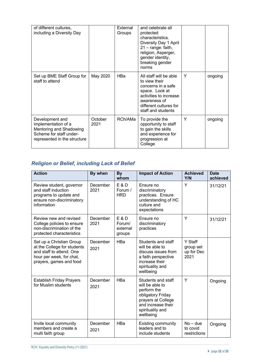| of different cultures,<br>including a Diversity Day                                                                          |                 | External<br>Groups | and celebrate all<br>protected<br>characteristics.<br>Diversity Day 1 April<br>21 - range: faith,<br>religion, Asperger,<br>gender identity,<br>breaking gender<br>norms  |   |         |
|------------------------------------------------------------------------------------------------------------------------------|-----------------|--------------------|---------------------------------------------------------------------------------------------------------------------------------------------------------------------------|---|---------|
| Set up BME Staff Group for<br>staff to attend                                                                                | May 2020        | HBa                | All staff will be able<br>to view their<br>concerns in a safe<br>space. Look at<br>activities to increase<br>awareness of<br>different cultures for<br>staff and students | Y | ongoing |
| Development and<br>implementation of a<br>Mentoring and Shadowing<br>Scheme for staff under-<br>represented in the structure | October<br>2021 | RCh/AMa            | To provide the<br>opportunity to staff<br>to gain the skills<br>and experience for<br>progression at<br>College                                                           | Υ | ongoing |

# *Religion or Belief, including Lack of Belief*

| <b>Action</b>                                                                                                                              | By when          | By<br>whom                                     | <b>Impact of Action</b>                                                                                                                                | <b>Achieved</b><br>Y/N                     | <b>Date</b><br>achieved |
|--------------------------------------------------------------------------------------------------------------------------------------------|------------------|------------------------------------------------|--------------------------------------------------------------------------------------------------------------------------------------------------------|--------------------------------------------|-------------------------|
| Review student, governor<br>and staff induction<br>programs to update and<br>ensure non-discriminatory<br>information                      | December<br>2021 | E & D<br>Forum /<br><b>HRD</b>                 | Ensure no<br>discriminatory<br>practices. Ensure<br>understanding of HC<br>culture and<br>expectations                                                 | Y                                          | 31/12/21                |
| Review new and revised<br>College policies to ensure<br>non-discrimination of the<br>protected characteristics                             | December<br>2021 | <b>E&amp;D</b><br>Forum/<br>external<br>groups | Ensure no<br>discriminatory<br>practices                                                                                                               | Y                                          | 31/12/21                |
| Set up a Christian Group<br>at the College for students<br>and staff to attend. One<br>hour per week, for chat,<br>prayers, games and food | December<br>2021 | <b>HBa</b>                                     | Students and staff<br>will be able to<br>discuss issues from<br>a faith perspective<br>increase their<br>spirituality and<br>wellbeing                 | Y Staff<br>group set<br>up for Dec<br>2021 |                         |
| <b>Establish Friday Prayers</b><br>for Muslim students                                                                                     | December<br>2021 | HBa                                            | Students and staff<br>will be able to<br>perform the<br>obligatory Friday<br>prayers at College<br>and increase their<br>spirituality and<br>wellbeing | Y                                          | Ongoing                 |
| Invite local community<br>members and create a<br>multi faith group                                                                        | December<br>2021 | HBa                                            | <b>Existing community</b><br>leaders and to<br>include students                                                                                        | $No$ – due<br>to covid<br>restrictions     | Ongoing                 |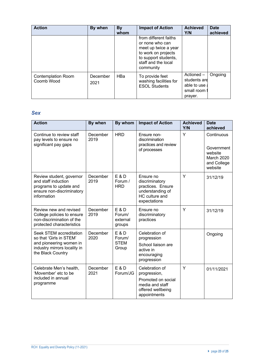| <b>Action</b>                           | By when          | By<br>whom | <b>Impact of Action</b>                                                                                                                             | <b>Achieved</b><br>Y/N                                             | <b>Date</b><br>achieved |
|-----------------------------------------|------------------|------------|-----------------------------------------------------------------------------------------------------------------------------------------------------|--------------------------------------------------------------------|-------------------------|
|                                         |                  |            | from different faiths<br>or none who can<br>meet up twice a year<br>to work on projects<br>to support students,<br>staff and the local<br>community |                                                                    |                         |
| <b>Contemplation Room</b><br>Coomb Wood | December<br>2021 | <b>HBa</b> | To provide feet<br>washing facilities for<br><b>ESOL Students</b>                                                                                   | Actioned -<br>students are<br>able to use<br>small room<br>prayer. | Ongoing                 |

### *Sex*

| <b>Action</b>                                                                                                                      | By when          | By whom                                          | <b>Impact of Action</b>                                                                                      | <b>Achieved</b><br>Y/N | <b>Date</b><br>achieved                                                     |
|------------------------------------------------------------------------------------------------------------------------------------|------------------|--------------------------------------------------|--------------------------------------------------------------------------------------------------------------|------------------------|-----------------------------------------------------------------------------|
| Continue to review staff<br>pay levels to ensure no<br>significant pay gaps                                                        | December<br>2019 | <b>HRD</b>                                       | Ensure non-<br>discrimination<br>practices and review<br>of processes                                        | Y                      | Continuous<br>Government<br>website<br>March 2020<br>and College<br>website |
| Review student, governor<br>and staff induction<br>programs to update and<br>ensure non-discriminatory<br>information              | December<br>2019 | <b>E&amp;D</b><br>Forum /<br><b>HRD</b>          | Ensure no<br>discriminatory<br>practices. Ensure<br>understanding of<br>HC culture and<br>expectations       | Y                      | 31/12/19                                                                    |
| Review new and revised<br>College policies to ensure<br>non-discrimination of the<br>protected characteristics                     | December<br>2019 | <b>E&amp;D</b><br>Forum/<br>external<br>groups   | Ensure no<br>discriminatory<br>practices                                                                     | Y                      | 31/12/19                                                                    |
| Seek STEM accreditation<br>so that 'Girls in STEM'<br>and pioneering women in<br>industry mirrors locality in<br>the Black Country | December<br>2020 | <b>E&amp;D</b><br>Forum/<br><b>STEM</b><br>Group | Celebration of<br>progression<br>School liaison are<br>active in<br>encouraging<br>progression               |                        | Ongoing                                                                     |
| Celebrate Men's health,<br>'Movember' etc to be<br>included in annual<br>programme                                                 | December<br>2021 | <b>E&amp;D</b><br>Forum/JG                       | Celebration of<br>progression,<br>Promoted on social<br>media and staff<br>offered wellbeing<br>appointments | Y                      | 01/11/2021                                                                  |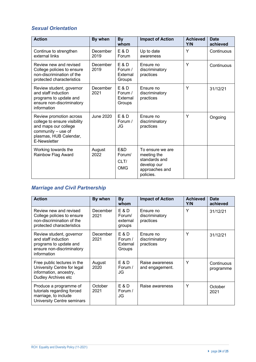## *Sexual Orientation*

| <b>Action</b>                                                                                                                                   | By when          | <b>By</b><br>whom                               | <b>Impact of Action</b>                                                                        | <b>Achieved</b><br>Y/N | <b>Date</b><br>achieved |
|-------------------------------------------------------------------------------------------------------------------------------------------------|------------------|-------------------------------------------------|------------------------------------------------------------------------------------------------|------------------------|-------------------------|
| Continue to strengthen<br>external links                                                                                                        | December<br>2019 | $E$ & D<br>Forum                                | Up to date<br>awareness                                                                        | Υ                      | Continuous              |
| Review new and revised<br>College policies to ensure<br>non-discrimination of the<br>protected characteristics                                  | December<br>2019 | <b>E&amp;D</b><br>Forum /<br>External<br>Groups | Ensure no<br>discriminatory<br>practices                                                       | Y                      | Continuous              |
| Review student, governor<br>and staff induction<br>programs to update and<br>ensure non-discriminatory<br>information                           | December<br>2021 | E & D<br>Forum /<br>External<br>Groups          | Ensure no<br>discriminatory<br>practices                                                       | Y                      | 31/12/21                |
| Review promotion across<br>college to ensure visibility<br>and maps our college<br>community - use of<br>plasmas, HUB Calendar,<br>E-Newsletter | June 2020        | E & D<br>Forum /<br>JG                          | Ensure no<br>discriminatory<br>practices                                                       | Υ                      | Ongoing                 |
| Working towards the<br>Rainbow Flag Award                                                                                                       | August<br>2022   | E&D<br>Forum/<br>CLT/<br><b>OMG</b>             | To ensure we are<br>meeting the<br>standards and<br>develop our<br>approaches and<br>policies. |                        |                         |

# *Marriage and Civil Partnership*

| <b>Action</b>                                                                                                         | By when          | By<br>whom                             | <b>Impact of Action</b>                  | <b>Achieved</b><br>Y/N | <b>Date</b><br>achieved |
|-----------------------------------------------------------------------------------------------------------------------|------------------|----------------------------------------|------------------------------------------|------------------------|-------------------------|
| Review new and revised<br>College policies to ensure<br>non-discrimination of the<br>protected characteristics        | December<br>2021 | E & D<br>Forum/<br>external<br>groups  | Ensure no<br>discriminatory<br>practices | Y                      | 31/12/21                |
| Review student, governor<br>and staff induction<br>programs to update and<br>ensure non-discriminatory<br>information | December<br>2021 | E & D<br>Forum /<br>External<br>Groups | Ensure no<br>discriminatory<br>practices | Y                      | 31/12/21                |
| Free public lectures in the<br>University Centre for legal<br>information, ancestry,<br>Dudley Archives etc           | August<br>2020   | E & D<br>Forum /<br>JG                 | Raise awareness<br>and engagement.       | Υ                      | Continuous<br>programme |
| Produce a programme of<br>tutorials regarding forced<br>marriage, to include<br>University Centre seminars            | October<br>2021  | E & D<br>Forum /<br>JG                 | Raise awareness                          | Υ                      | October<br>2021         |